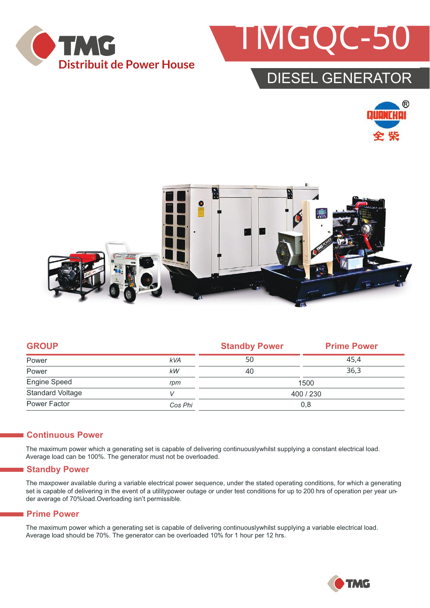



### DIESEL GENERATOR





|            | <b>Standby Power</b> | <b>Prime Power</b> |  |
|------------|----------------------|--------------------|--|
| <b>kVA</b> | 50                   | 45.4               |  |
| kW         | 40                   | 36.3               |  |
| rpm        | 1500                 |                    |  |
| V          | 400 / 230            |                    |  |
| Cos Phi    | 0,8                  |                    |  |
|            |                      |                    |  |

#### **Continuous Power**

The maximum power which a generating set is capable of delivering continuouslywhilst supplying a constant electrical load. Average load can be 100%. The generator must not be overloaded.

#### **Standby Power**

The maxpower available during a variable electrical power sequence, under the stated operating conditions, for which a generating set is capable of delivering in the event of a utilitypower outage or under test conditions for up to 200 hrs of operation per year under average of 70%load.Overloading isn't permissible.

#### **Prime Power**

The maximum power which a generating set is capable of delivering continuouslywhilst supplying a variable electrical load. Average load should be 70%. The generator can be overloaded 10% for 1 hour per 12 hrs.

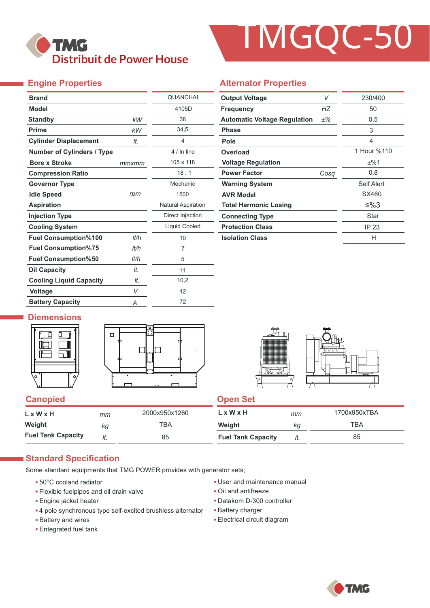

# TMGQC-50

#### **Engine Properties**

| <b>Brand</b>                      |       | <b>QUANCHAI</b>           |
|-----------------------------------|-------|---------------------------|
| <b>Model</b>                      |       | 4105D                     |
| <b>Standby</b>                    | kW    | 38                        |
| <b>Prime</b>                      | kW    | 34,5                      |
| <b>Cylinder Displacement</b>      | It.   | $\overline{4}$            |
| <b>Number of Cylinders / Type</b> |       | 4 / In line               |
| <b>Bore x Stroke</b>              | mmxmm | 105 x 118                 |
| <b>Compression Ratio</b>          |       | 18:1                      |
| <b>Governor Type</b>              |       | Mechanic                  |
| <b>Idle Speed</b>                 | rpm   | 1500                      |
| <b>Aspiration</b>                 |       | <b>Natural Aspiration</b> |
| <b>Injection Type</b>             |       | Direct Injection          |
| <b>Cooling System</b>             |       | Liquid Cooled             |
| <b>Fuel Consumption%100</b>       | It/h  | 10                        |
| <b>Fuel Consumption%75</b>        | lt/h  | 7                         |
| <b>Fuel Consumption%50</b>        | lt/h  | 5                         |
| <b>Oil Capacity</b>               | It.   | 11                        |
| <b>Cooling Liquid Capacity</b>    | It.   | 10,2                      |
| <b>Voltage</b>                    | V     | 12                        |
| <b>Battery Capacity</b>           | Α     | 72                        |

#### **Alternator Properties**

| <b>Output Voltage</b>               | V     | 230/400     |  |
|-------------------------------------|-------|-------------|--|
| <b>Frequency</b>                    | НZ    | 50          |  |
| <b>Automatic Voltage Regulation</b> | $±\%$ | 0,5         |  |
| <b>Phase</b>                        |       | 3           |  |
| Pole                                |       | 4           |  |
| Overload                            |       | 1 Hour %110 |  |
| <b>Voltage Regulation</b>           |       | ±%1         |  |
| <b>Power Factor</b>                 | Cosa  | 0,8         |  |
| <b>Warning System</b>               |       | Self Alert  |  |
| <b>AVR Model</b>                    |       | SX460       |  |
| <b>Total Harmonic Losing</b>        |       | ≤%3         |  |
| <b>Connecting Type</b>              |       | Star        |  |
| <b>Protection Class</b>             |       | IP 23       |  |
| <b>Isolation Class</b>              |       | н           |  |

#### **Diemensions**







#### **Canopied Canopied Canopied**

| $L \times W \times H$     | mт | 2000x950x1260 | L x W x H                 | mm  | 1700x950xTBA |
|---------------------------|----|---------------|---------------------------|-----|--------------|
| Weight                    | κq | ТВА           | Weight                    | Kg  | ТВА          |
| <b>Fuel Tank Capacity</b> |    | 85            | <b>Fuel Tank Capacity</b> | It. | 85           |

#### **Standard Specification**

Some standard equipments that TMG POWER provides with generator sets;

- 50°C cooland radiator
- Flexible fuelpipes and oil drain valve
- Engine jacket heater
- 4 pole synchronous type self-excited brushless alternator
- Battery and wires
- Entegrated fuel tank
- User and maintenance manual
- Oil and antifreeze
- Datakom D-300 controller
- Battery charger
- Electrical circuit diagram